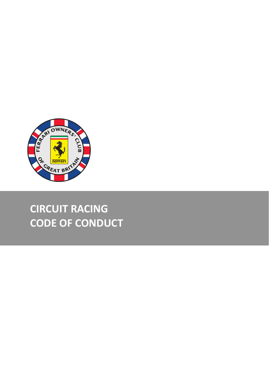

# **CIRCUIT RACING CODE OF CONDUCT**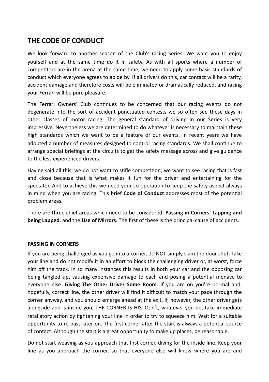## **THE CODE OF CONDUCT**

We look forward to another season of the Club's racing Series. We want you to enjoy yourself and at the same time do it in safety. As with all sports where a number of competitors are in the arena at the same time, we need to apply some basic standards of conduct which everyone agrees to abide by. If all drivers do this, car contact will be a rarity. accident damage and therefore costs will be eliminated or dramatically reduced, and racing your Ferrari will be pure pleasure.

The Ferrari Owners' Club continues to be concerned that our racing events do not degenerate into the sort of accident punctuated contests we so often see these days in other classes of motor racing. The general standard of driving in our Series is very impressive. Nevertheless we are determined to do whatever is necessary to maintain these high standards which we want to be a feature of our events. In recent years we have adopted a number of measures designed to control racing standards. We shall continue to arrange special briefings at the circuits to get the safety message across and give guidance to the less experienced drivers.

Having said all this, we do not want to stifle competition; we want to see racing that is fast and close because that is what makes it fun for the driver and entertaining for the spectator. And to achieve this we need your co-operation to keep the safety aspect always in mind when you are racing. This brief **Code of Conduct** addresses most of the potential problem areas.

There are three chief areas which need to be considered: **Passing in Corners, Lapping and being Lapped**, and the Use of Mirrors. The first of these is the principal cause of accidents.

### **PASSING IN CORNERS**

If you are being challenged as you go into a corner, do NOT simply slam the door shut. Take your line and do not modify it in an effort to block the challenging driver or, at worst, force him off the track. In so many instances this results in both your car and the opposing car being tangled up, causing expensive damage to each and posing a potential menace to everyone else. **Giving The Other Driver Some Room**. If you are on you're normal and. hopefully, correct line, the other driver will find it difficult to match your pace through the corner anyway, and you should emerge ahead at the exit. If, however, the other driver gets alongside and is inside you, THE CORNER IS HIS. Don't, whatever you do, take immediate retaliatory action by tightening your line in order to try to squeeze him. Wait for a suitable opportunity to re-pass later on. The first corner after the start is always a potential source of contact. Although the start is a great opportunity to make up places, be reasonable.

Do not start weaving as you approach that first corner, diving for the inside line. Keep your line as you approach the corner, so that everyone else will know where you are and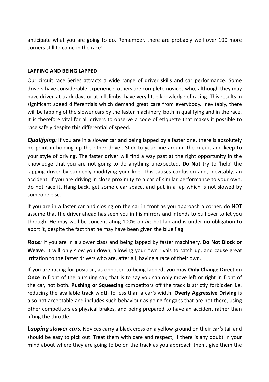anticipate what you are going to do. Remember, there are probably well over 100 more corners still to come in the race!

#### **LAPPING AND BEING LAPPED**

Our circuit race Series attracts a wide range of driver skills and car performance. Some drivers have considerable experience, others are complete novices who, although they may have driven at track days or at hillclimbs, have very little knowledge of racing. This results in significant speed differentials which demand great care from everybody. Inevitably, there will be lapping of the slower cars by the faster machinery, both in qualifying and in the race. It is therefore vital for all drivers to observe a code of etiquette that makes it possible to race safely despite this differential of speed.

*Qualifying*: If you are in a slower car and being lapped by a faster one, there is absolutely no point in holding up the other driver. Stick to your line around the circuit and keep to your style of driving. The faster driver will find a way past at the right opportunity in the knowledge that you are not going to do anything unexpected. **Do Not** try to 'help' the lapping driver by suddenly modifying your line. This causes confusion and, inevitably, an accident. If you are driving in close proximity to a car of similar performance to your own, do not race it. Hang back, get some clear space, and put in a lap which is not slowed by someone else.

If you are in a faster car and closing on the car in front as you approach a corner, do NOT assume that the driver ahead has seen you in his mirrors and intends to pull over to let you through. He may well be concentrating 100% on *his* hot lap and is under no obligation to abort it, despite the fact that he may have been given the blue flag.

*Race*: If you are in a slower class and being lapped by faster machinery, Do Not Block or **Weave**. It will only slow you down, allowing your own rivals to catch up, and cause great irritation to the faster drivers who are, after all, having a race of their own.

If you are racing for position, as opposed to being lapped, you may **Only Change Direction Once** in front of the pursuing car, that is to say you can only move left or right in front of the car, not both. Pushing or Squeezing competitors off the track is strictly forbidden i.e. reducing the available track width to less than a car's width. Overly Aggressive Driving is also not acceptable and includes such behaviour as going for gaps that are not there, using other competitors as physical brakes, and being prepared to have an accident rather than lifting the throttle.

**Lapping slower cars**; Novices carry a black cross on a vellow ground on their car's tail and should be easy to pick out. Treat them with care and respect; if there is any doubt in your mind about where they are going to be on the track as you approach them, give them the